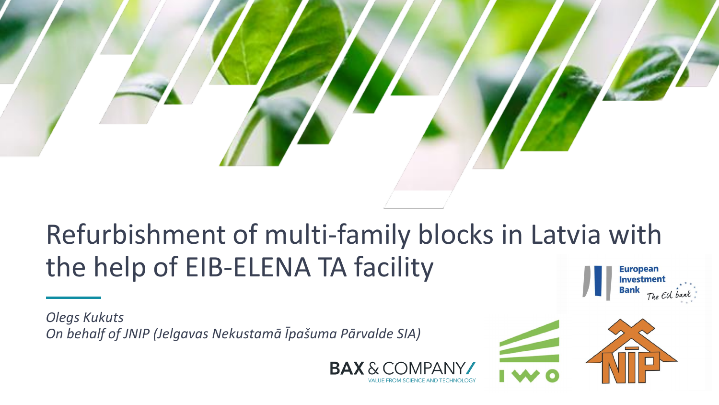

#### Refurbishment of multi-family blocks in Latvia with the help of EIB-ELENA TA facility **European** Investment

*Olegs Kukuts On behalf of JNIP (Jelgavas Nekustamā Īpašuma Pārvalde SIA)*



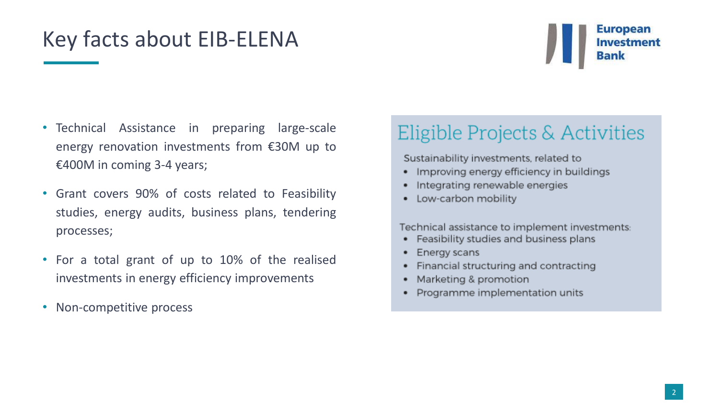## Key facts about EIB-ELENA

### **European Investment**

- Technical Assistance in preparing large-scale energy renovation investments from €30M up to €400M in coming 3-4 years;
- Grant covers 90% of costs related to Feasibility studies, energy audits, business plans, tendering processes;
- For a total grant of up to 10% of the realised investments in energy efficiency improvements
- Non-competitive process

#### Eligible Projects & Activities

Sustainability investments, related to

- Improving energy efficiency in buildings
- Integrating renewable energies
- Low-carbon mobility

Technical assistance to implement investments:

- Feasibility studies and business plans ٠
- Energy scans
- Financial structuring and contracting
- Marketing & promotion
- Programme implementation units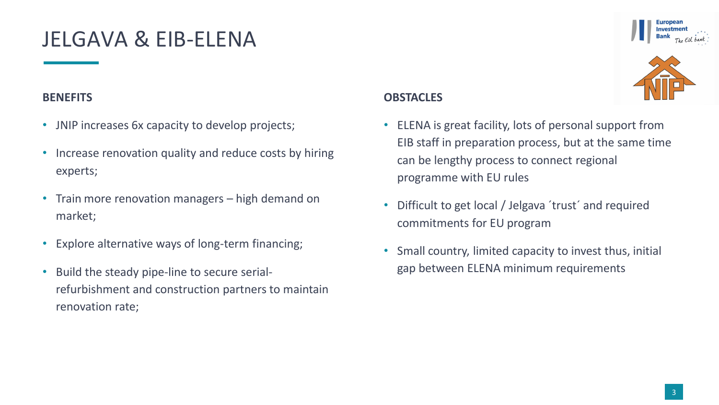## JELGAVA & EIB-ELENA

#### **BENEFITS**

- JNIP increases 6x capacity to develop projects;
- Increase renovation quality and reduce costs by hiring experts;
- Train more renovation managers high demand on market;
- Explore alternative ways of long-term financing;
- Build the steady pipe-line to secure serialrefurbishment and construction partners to maintain renovation rate;

#### **OBSTACLES**

- ELENA is great facility, lots of personal support from EIB staff in preparation process, but at the same time can be lengthy process to connect regional programme with EU rules
- Difficult to get local / Jelgava 'trust' and required commitments for EU program
- Small country, limited capacity to invest thus, initial gap between ELENA minimum requirements





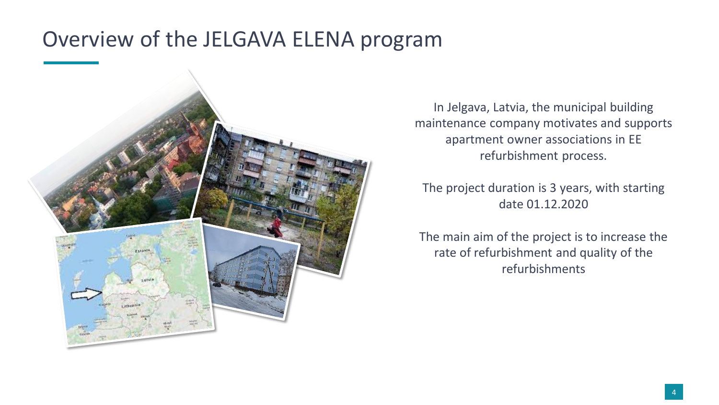## Overview of the JELGAVA ELENA program



In Jelgava, Latvia, the municipal building maintenance company motivates and supports apartment owner associations in EE refurbishment process.

The project duration is 3 years, with starting date 01.12.2020

The main aim of the project is to increase the rate of refurbishment and quality of the refurbishments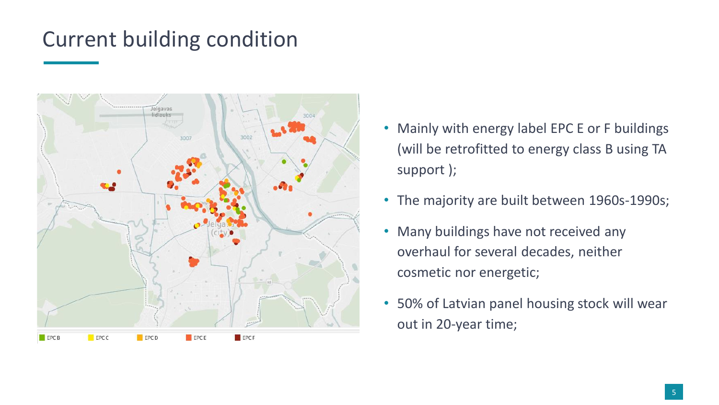# Current building condition



- Mainly with energy label EPC E or F buildings (will be retrofitted to energy class B using TA support );
- The majority are built between 1960s-1990s;
- Many buildings have not received any overhaul for several decades, neither cosmetic nor energetic;
- 50% of Latvian panel housing stock will wear out in 20-year time;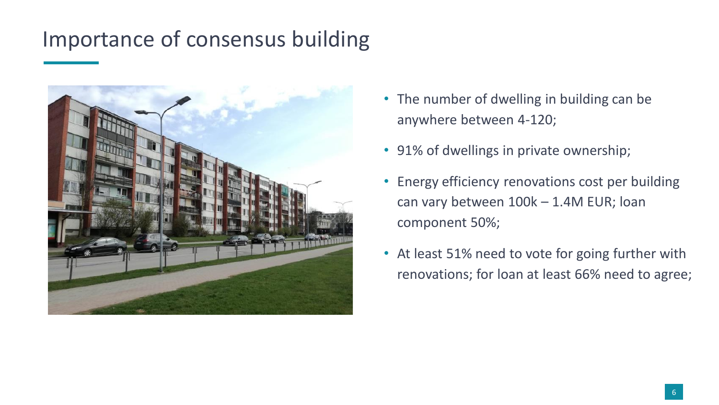# Importance of consensus building



- The number of dwelling in building can be anywhere between 4-120;
- 91% of dwellings in private ownership;
- Energy efficiency renovations cost per building can vary between 100k – 1.4M EUR; loan component 50%;
- At least 51% need to vote for going further with renovations; for loan at least 66% need to agree;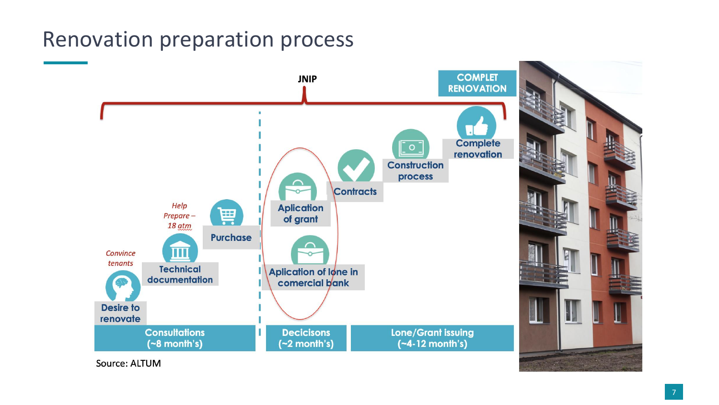# Renovation preparation process

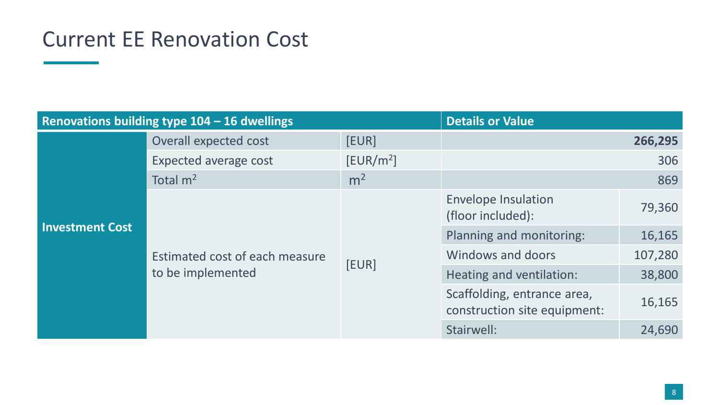## Current EE Renovation Cost

| Renovations building type 104 - 16 dwellings |                                                     |                       | <b>Details or Value</b>                                     |         |
|----------------------------------------------|-----------------------------------------------------|-----------------------|-------------------------------------------------------------|---------|
| <b>Investment Cost</b>                       | Overall expected cost                               | [EUR]                 |                                                             | 266,295 |
|                                              | Expected average cost                               | [EUR/m <sup>2</sup> ] |                                                             | 306     |
|                                              | Total $m2$                                          | m <sup>2</sup>        |                                                             | 869     |
|                                              | Estimated cost of each measure<br>to be implemented | [EUR]                 | <b>Envelope Insulation</b><br>(floor included):             | 79,360  |
|                                              |                                                     |                       | Planning and monitoring:                                    | 16,165  |
|                                              |                                                     |                       | Windows and doors                                           | 107,280 |
|                                              |                                                     |                       | Heating and ventilation:                                    | 38,800  |
|                                              |                                                     |                       | Scaffolding, entrance area,<br>construction site equipment: | 16,165  |
|                                              |                                                     |                       | Stairwell:                                                  | 24,690  |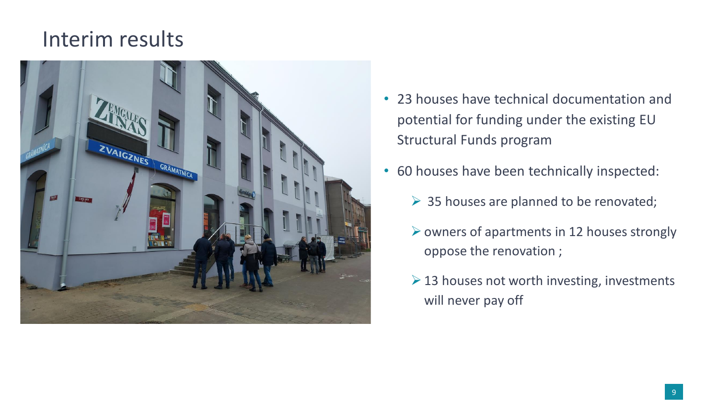### Interim results



- 23 houses have technical documentation and potential for funding under the existing EU Structural Funds program
- 60 houses have been technically inspected:
	- $\triangleright$  35 houses are planned to be renovated;
	- $\triangleright$  owners of apartments in 12 houses strongly oppose the renovation ;
	- $\geq$  13 houses not worth investing, investments will never pay off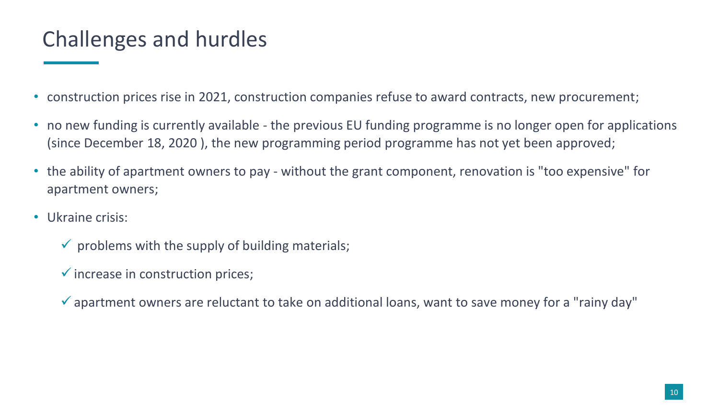# Challenges and hurdles

- construction prices rise in 2021, construction companies refuse to award contracts, new procurement;
- no new funding is currently available the previous EU funding programme is no longer open for applications (since December 18, 2020 ), the new programming period programme has not yet been approved;
- the ability of apartment owners to pay without the grant component, renovation is "too expensive" for apartment owners;
- Ukraine crisis:
	- $\checkmark$  problems with the supply of building materials;
	- $\checkmark$  increase in construction prices;
	- $\checkmark$  apartment owners are reluctant to take on additional loans, want to save money for a "rainy day"